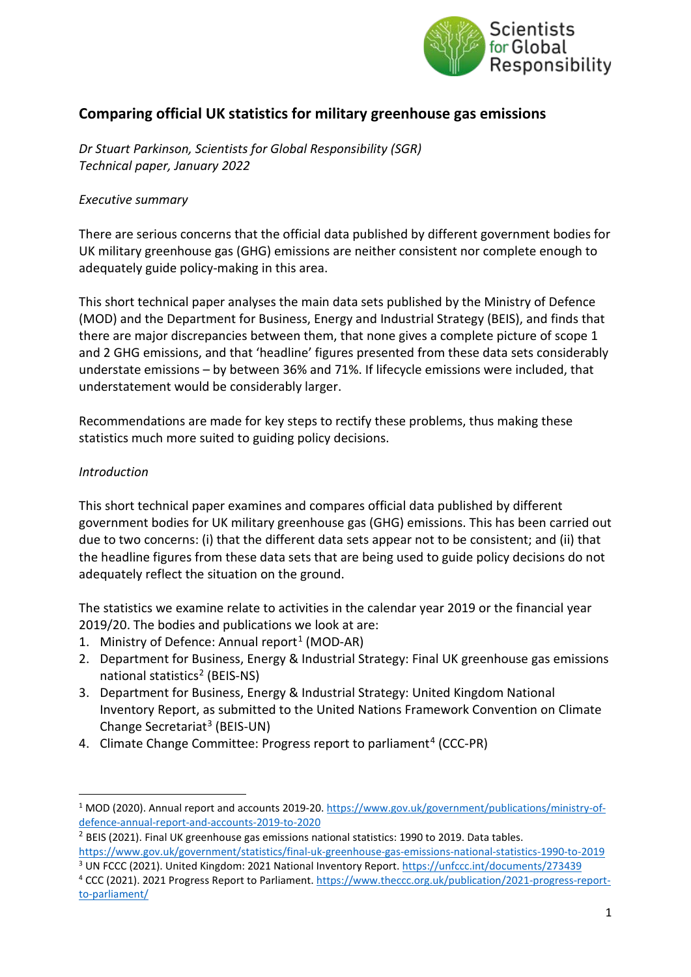

# **Comparing official UK statistics for military greenhouse gas emissions**

*Dr Stuart Parkinson, Scientists for Global Responsibility (SGR) Technical paper, January 2022*

#### *Executive summary*

There are serious concerns that the official data published by different government bodies for UK military greenhouse gas (GHG) emissions are neither consistent nor complete enough to adequately guide policy-making in this area.

This short technical paper analyses the main data sets published by the Ministry of Defence (MOD) and the Department for Business, Energy and Industrial Strategy (BEIS), and finds that there are major discrepancies between them, that none gives a complete picture of scope 1 and 2 GHG emissions, and that 'headline' figures presented from these data sets considerably understate emissions – by between 36% and 71%. If lifecycle emissions were included, that understatement would be considerably larger.

Recommendations are made for key steps to rectify these problems, thus making these statistics much more suited to guiding policy decisions.

#### *Introduction*

This short technical paper examines and compares official data published by different government bodies for UK military greenhouse gas (GHG) emissions. This has been carried out due to two concerns: (i) that the different data sets appear not to be consistent; and (ii) that the headline figures from these data sets that are being used to guide policy decisions do not adequately reflect the situation on the ground.

The statistics we examine relate to activities in the calendar year 2019 or the financial year 2019/20. The bodies and publications we look at are:

- [1](#page-0-0). Ministry of Defence: Annual report<sup>1</sup> (MOD-AR)
- 2. Department for Business, Energy & Industrial Strategy: Final UK greenhouse gas emissions national statistics<sup>[2](#page-0-1)</sup> (BEIS-NS)
- 3. Department for Business, Energy & Industrial Strategy: United Kingdom National Inventory Report, as submitted to the United Nations Framework Convention on Climate Change Secretariat<sup>[3](#page-0-2)</sup> (BEIS-UN)
- [4](#page-0-3). Climate Change Committee: Progress report to parliament<sup>4</sup> (CCC-PR)

<span id="page-0-0"></span><sup>1</sup> MOD (2020). Annual report and accounts 2019-20[. https://www.gov.uk/government/publications/ministry-of](https://www.gov.uk/government/publications/ministry-of-defence-annual-report-and-accounts-2019-to-2020)[defence-annual-report-and-accounts-2019-to-2020](https://www.gov.uk/government/publications/ministry-of-defence-annual-report-and-accounts-2019-to-2020)

<span id="page-0-1"></span><sup>&</sup>lt;sup>2</sup> BEIS (2021). Final UK greenhouse gas emissions national statistics: 1990 to 2019. Data tables.

<span id="page-0-2"></span><https://www.gov.uk/government/statistics/final-uk-greenhouse-gas-emissions-national-statistics-1990-to-2019> <sup>3</sup> UN FCCC (2021). United Kingdom: 2021 National Inventory Report[. https://unfccc.int/documents/273439](https://unfccc.int/documents/273439)

<span id="page-0-3"></span><sup>4</sup> CCC (2021). 2021 Progress Report to Parliament. [https://www.theccc.org.uk/publication/2021-progress-report](https://www.theccc.org.uk/publication/2021-progress-report-to-parliament/)[to-parliament/](https://www.theccc.org.uk/publication/2021-progress-report-to-parliament/)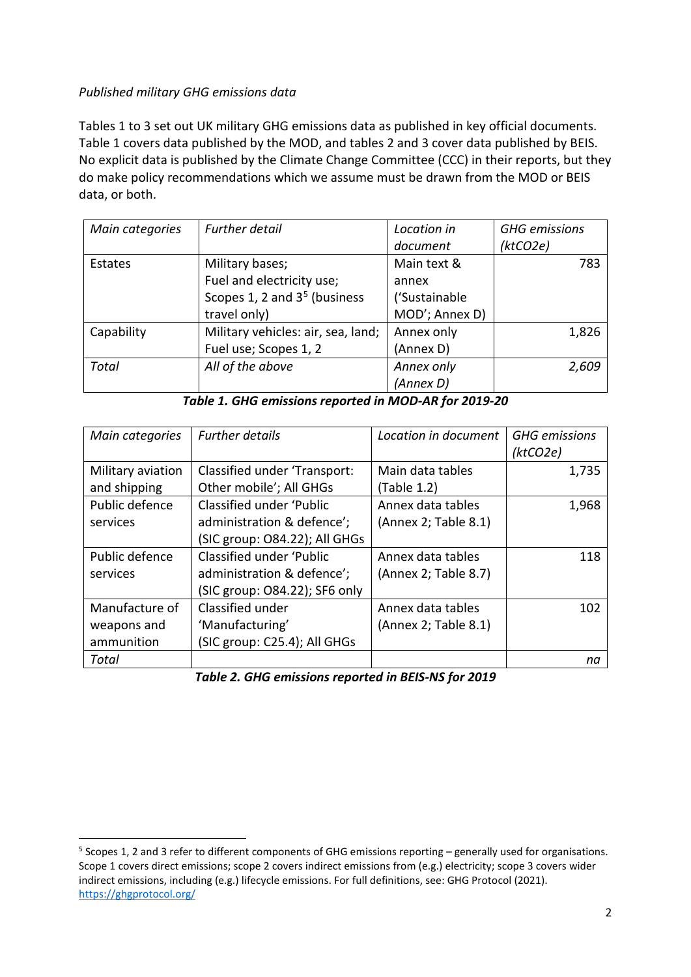### *Published military GHG emissions data*

Tables 1 to 3 set out UK military GHG emissions data as published in key official documents. Table 1 covers data published by the MOD, and tables 2 and 3 cover data published by BEIS. No explicit data is published by the Climate Change Committee (CCC) in their reports, but they do make policy recommendations which we assume must be drawn from the MOD or BEIS data, or both.

| Main categories | <b>Further detail</b>              | Location in    | <b>GHG</b> emissions |
|-----------------|------------------------------------|----------------|----------------------|
|                 |                                    | document       | (ktCO2e)             |
| Estates         | Military bases;                    | Main text &    | 783                  |
|                 | Fuel and electricity use;          | annex          |                      |
|                 | Scopes 1, 2 and $35$ (business     | ('Sustainable  |                      |
|                 | travel only)                       | MOD'; Annex D) |                      |
| Capability      | Military vehicles: air, sea, land; | Annex only     | 1,826                |
|                 | Fuel use; Scopes 1, 2              | (Annex D)      |                      |
| <b>Total</b>    | All of the above                   | Annex only     | 2,609                |
|                 |                                    | (Annex D)      |                      |

*Table 1. GHG emissions reported in MOD-AR for 2019-20*

| Main categories   | <b>Further details</b>        | Location in document | <b>GHG</b> emissions |
|-------------------|-------------------------------|----------------------|----------------------|
|                   |                               |                      | (ktCO2e)             |
| Military aviation | Classified under 'Transport:  | Main data tables     | 1,735                |
| and shipping      | Other mobile'; All GHGs       | (Table 1.2)          |                      |
| Public defence    | Classified under 'Public      | Annex data tables    | 1,968                |
| services          | administration & defence';    | (Annex 2; Table 8.1) |                      |
|                   | (SIC group: O84.22); All GHGs |                      |                      |
| Public defence    | Classified under 'Public      | Annex data tables    | 118                  |
| services          | administration & defence';    | (Annex 2; Table 8.7) |                      |
|                   | (SIC group: O84.22); SF6 only |                      |                      |
| Manufacture of    | Classified under              | Annex data tables    | 102                  |
| weapons and       | 'Manufacturing'               | (Annex 2; Table 8.1) |                      |
| ammunition        | (SIC group: C25.4); All GHGs  |                      |                      |
| Total             |                               |                      | na                   |

*Table 2. GHG emissions reported in BEIS-NS for 2019*

<span id="page-1-0"></span><sup>5</sup> Scopes 1, 2 and 3 refer to different components of GHG emissions reporting – generally used for organisations. Scope 1 covers direct emissions; scope 2 covers indirect emissions from (e.g.) electricity; scope 3 covers wider indirect emissions, including (e.g.) lifecycle emissions. For full definitions, see: GHG Protocol (2021). <https://ghgprotocol.org/>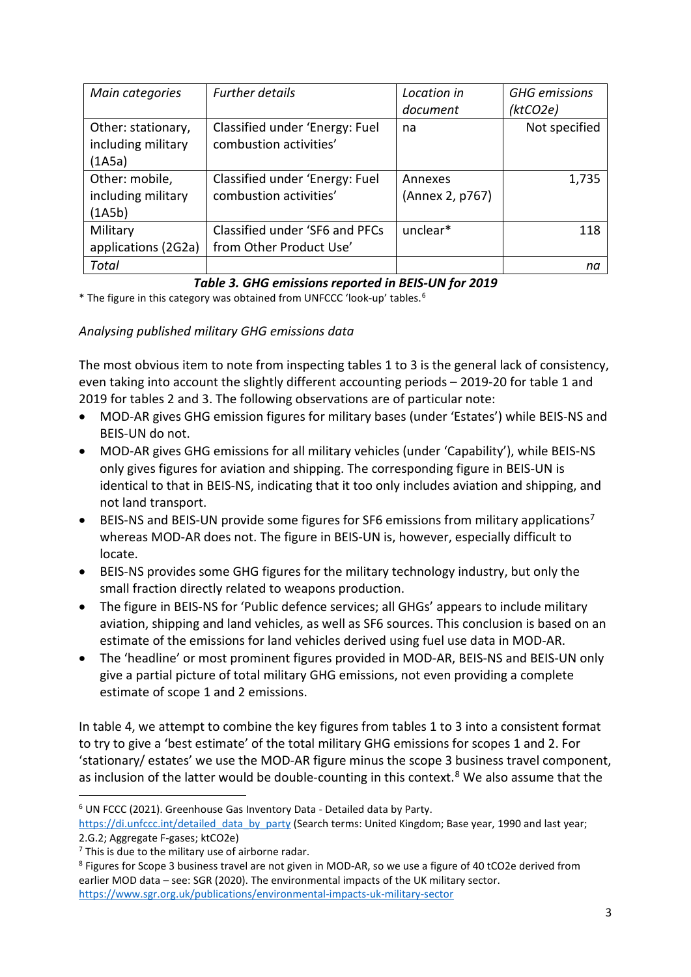| Main categories     | <b>Further details</b>         | Location in     | <b>GHG</b> emissions |
|---------------------|--------------------------------|-----------------|----------------------|
|                     |                                | document        | (ktCO2e)             |
| Other: stationary,  | Classified under 'Energy: Fuel | na              | Not specified        |
| including military  | combustion activities'         |                 |                      |
| (1A5a)              |                                |                 |                      |
| Other: mobile,      | Classified under 'Energy: Fuel | Annexes         | 1,735                |
| including military  | combustion activities'         | (Annex 2, p767) |                      |
| (1A5b)              |                                |                 |                      |
| Military            | Classified under 'SF6 and PFCs | unclear*        | 118                  |
| applications (2G2a) | from Other Product Use'        |                 |                      |
| Total               |                                |                 | na                   |

## *Table 3. GHG emissions reported in BEIS-UN for 2019*

\* The figure in this category was obtained from UNFCCC 'look-up' tables. [6](#page-2-0)

*Analysing published military GHG emissions data*

The most obvious item to note from inspecting tables 1 to 3 is the general lack of consistency, even taking into account the slightly different accounting periods – 2019-20 for table 1 and 2019 for tables 2 and 3. The following observations are of particular note:

- MOD-AR gives GHG emission figures for military bases (under 'Estates') while BEIS-NS and BEIS-UN do not.
- MOD-AR gives GHG emissions for all military vehicles (under 'Capability'), while BEIS-NS only gives figures for aviation and shipping. The corresponding figure in BEIS-UN is identical to that in BEIS-NS, indicating that it too only includes aviation and shipping, and not land transport.
- BEIS-NS and BEIS-UN provide some figures for SF6 emissions from military applications[7](#page-2-1) whereas MOD-AR does not. The figure in BEIS-UN is, however, especially difficult to locate.
- BEIS-NS provides some GHG figures for the military technology industry, but only the small fraction directly related to weapons production.
- The figure in BEIS-NS for 'Public defence services; all GHGs' appears to include military aviation, shipping and land vehicles, as well as SF6 sources. This conclusion is based on an estimate of the emissions for land vehicles derived using fuel use data in MOD-AR.
- The 'headline' or most prominent figures provided in MOD-AR, BEIS-NS and BEIS-UN only give a partial picture of total military GHG emissions, not even providing a complete estimate of scope 1 and 2 emissions.

In table 4, we attempt to combine the key figures from tables 1 to 3 into a consistent format to try to give a 'best estimate' of the total military GHG emissions for scopes 1 and 2. For 'stationary/ estates' we use the MOD-AR figure minus the scope 3 business travel component, as inclusion of the latter would be double-counting in this context.<sup>[8](#page-2-2)</sup> We also assume that the

<span id="page-2-0"></span><sup>6</sup> UN FCCC (2021). Greenhouse Gas Inventory Data - Detailed data by Party.

https://di.unfccc.int/detailed data by party (Search terms: United Kingdom; Base year, 1990 and last year; 2.G.2; Aggregate F-gases; ktCO2e)

<span id="page-2-1"></span> $7$  This is due to the military use of airborne radar.

<span id="page-2-2"></span><sup>&</sup>lt;sup>8</sup> Figures for Scope 3 business travel are not given in MOD-AR, so we use a figure of 40 tCO2e derived from earlier MOD data – see: SGR (2020). The environmental impacts of the UK military sector. <https://www.sgr.org.uk/publications/environmental-impacts-uk-military-sector>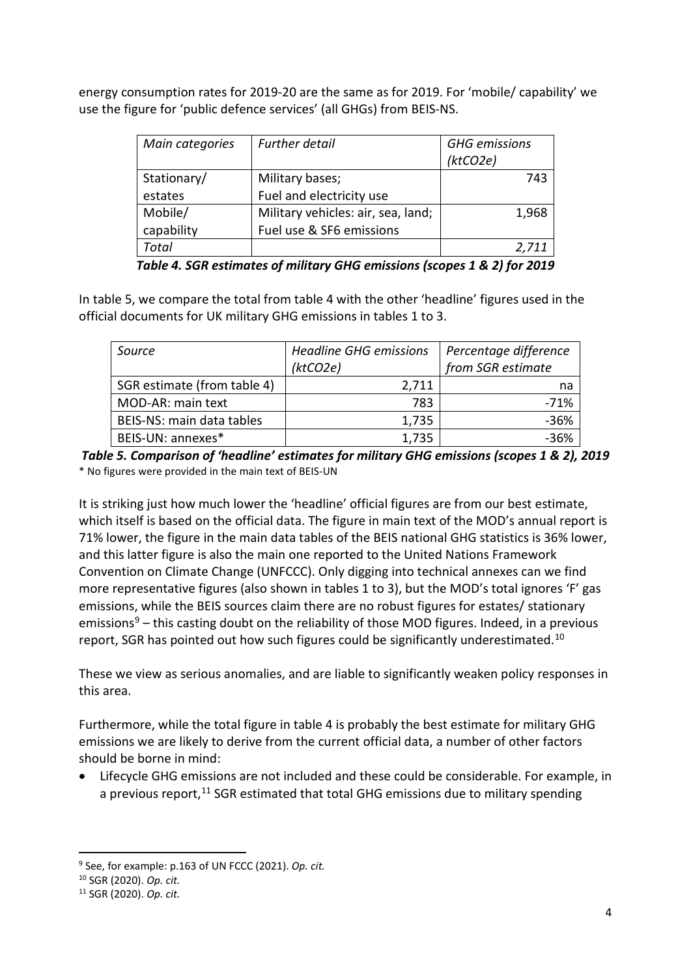energy consumption rates for 2019-20 are the same as for 2019. For 'mobile/ capability' we use the figure for 'public defence services' (all GHGs) from BEIS-NS.

| Main categories | <b>Further detail</b>              | <b>GHG</b> emissions |
|-----------------|------------------------------------|----------------------|
|                 |                                    | (ktCO2e)             |
| Stationary/     | Military bases;                    | 743                  |
| estates         | Fuel and electricity use           |                      |
| Mobile/         | Military vehicles: air, sea, land; | 1,968                |
| capability      | Fuel use & SF6 emissions           |                      |
| Total           |                                    | 2,711                |

*Table 4. SGR estimates of military GHG emissions (scopes 1 & 2) for 2019*

In table 5, we compare the total from table 4 with the other 'headline' figures used in the official documents for UK military GHG emissions in tables 1 to 3.

| Source                      | <b>Headline GHG emissions</b><br>(ktCO2e) | Percentage difference<br>from SGR estimate |
|-----------------------------|-------------------------------------------|--------------------------------------------|
| SGR estimate (from table 4) | 2.711                                     | na                                         |
| MOD-AR: main text           | 783                                       | $-71%$                                     |
| BEIS-NS: main data tables   | 1,735                                     | $-36%$                                     |
| BEIS-UN: annexes*           | 1,735                                     | $-36%$                                     |

*Table 5. Comparison of 'headline' estimates for military GHG emissions (scopes 1 & 2), 2019* \* No figures were provided in the main text of BEIS-UN

It is striking just how much lower the 'headline' official figures are from our best estimate, which itself is based on the official data. The figure in main text of the MOD's annual report is 71% lower, the figure in the main data tables of the BEIS national GHG statistics is 36% lower, and this latter figure is also the main one reported to the United Nations Framework Convention on Climate Change (UNFCCC). Only digging into technical annexes can we find more representative figures (also shown in tables 1 to 3), but the MOD's total ignores 'F' gas emissions, while the BEIS sources claim there are no robust figures for estates/ stationary emissions<sup>[9](#page-3-0)</sup> – this casting doubt on the reliability of those MOD figures. Indeed, in a previous report, SGR has pointed out how such figures could be significantly underestimated.[10](#page-3-1)

These we view as serious anomalies, and are liable to significantly weaken policy responses in this area.

Furthermore, while the total figure in table 4 is probably the best estimate for military GHG emissions we are likely to derive from the current official data, a number of other factors should be borne in mind:

• Lifecycle GHG emissions are not included and these could be considerable. For example, in a previous report.<sup>[11](#page-3-2)</sup> SGR estimated that total GHG emissions due to military spending

<span id="page-3-0"></span><sup>9</sup> See, for example: p.163 of UN FCCC (2021). *Op. cit.*

<span id="page-3-1"></span><sup>10</sup> SGR (2020). *Op. cit.*

<span id="page-3-2"></span><sup>11</sup> SGR (2020). *Op. cit.*